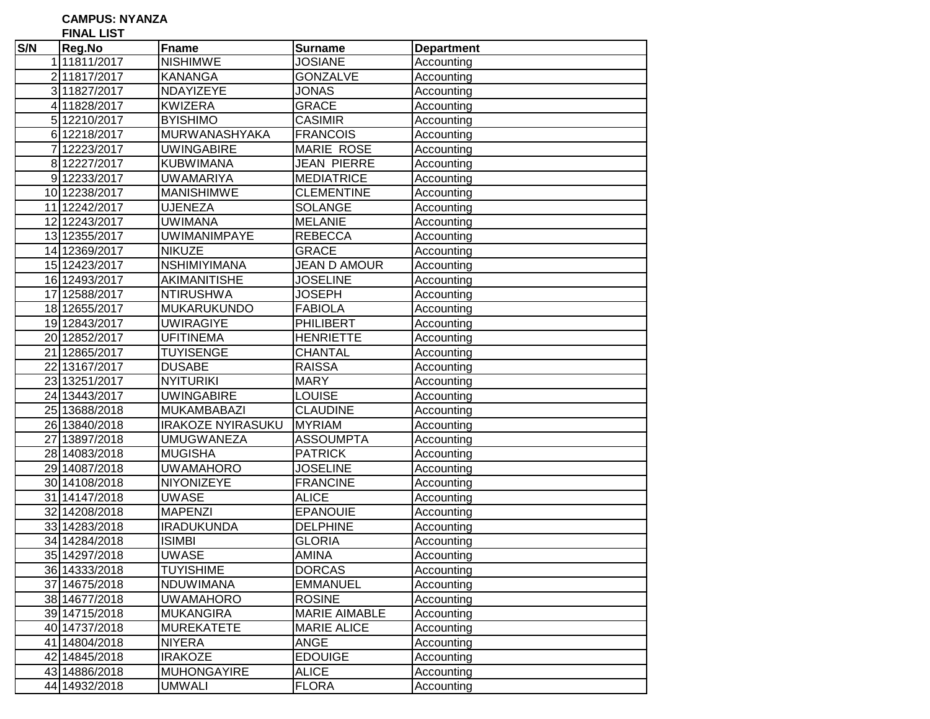**CAMPUS: NYANZA**

**FINAL LIST** 

|                | FINAL LIST    |                          |                      |                   |
|----------------|---------------|--------------------------|----------------------|-------------------|
| S/N            | Reg.No        | Fname                    | <b>Surname</b>       | <b>Department</b> |
|                | 111811/2017   | <b>NISHIMWE</b>          | <b>JOSIANE</b>       | Accounting        |
|                | 211817/2017   | <b>KANANGA</b>           | <b>GONZALVE</b>      | Accounting        |
|                | 3 11827/2017  | NDAYIZEYE                | JONAS                | Accounting        |
|                | 4 11828/2017  | <b>KWIZERA</b>           | <b>GRACE</b>         | Accounting        |
|                | 5 12210/2017  | <b>BYISHIMO</b>          | <b>CASIMIR</b>       | Accounting        |
|                | 6 12218/2017  | MURWANASHYAKA            | <b>FRANCOIS</b>      | Accounting        |
| $\overline{7}$ | 12223/2017    | <b>UWINGABIRE</b>        | <b>MARIE ROSE</b>    | Accounting        |
|                | 8 12227/2017  | <b>KUBWIMANA</b>         | <b>JEAN PIERRE</b>   | Accounting        |
|                | 912233/2017   | <b>UWAMARIYA</b>         | <b>MEDIATRICE</b>    | Accounting        |
|                | 10 12238/2017 | <b>MANISHIMWE</b>        | <b>CLEMENTINE</b>    | Accounting        |
| 11             | 12242/2017    | <b>UJENEZA</b>           | <b>SOLANGE</b>       | Accounting        |
| 12             | 12243/2017    | <b>UWIMANA</b>           | <b>MELANIE</b>       | Accounting        |
|                | 13 12355/2017 | <b>UWIMANIMPAYE</b>      | <b>REBECCA</b>       | Accounting        |
|                | 14 12369/2017 | <b>NIKUZE</b>            | <b>GRACE</b>         | Accounting        |
|                | 15 12423/2017 | <b>NSHIMIYIMANA</b>      | <b>JEAN D AMOUR</b>  | Accounting        |
|                | 16 12493/2017 | AKIMANITISHE             | <b>JOSELINE</b>      | Accounting        |
| 17             | 12588/2017    | <b>NTIRUSHWA</b>         | <b>JOSEPH</b>        | Accounting        |
|                | 18 12655/2017 | <b>MUKARUKUNDO</b>       | <b>FABIOLA</b>       | Accounting        |
|                | 19 12843/2017 | <b>UWIRAGIYE</b>         | <b>PHILIBERT</b>     | Accounting        |
|                | 20 12852/2017 | <b>UFITINEMA</b>         | <b>HENRIETTE</b>     | Accounting        |
|                | 21 12865/2017 | <b>TUYISENGE</b>         | <b>CHANTAL</b>       | Accounting        |
|                | 22 13167/2017 | <b>DUSABE</b>            | <b>RAISSA</b>        | Accounting        |
|                | 23 13251/2017 | <b>NYITURIKI</b>         | <b>MARY</b>          | Accounting        |
|                | 24 13443/2017 | <b>UWINGABIRE</b>        | <b>LOUISE</b>        | Accounting        |
|                | 25 13688/2018 | <b>MUKAMBABAZI</b>       | <b>CLAUDINE</b>      | Accounting        |
|                | 26 13840/2018 | <b>IRAKOZE NYIRASUKU</b> | <b>MYRIAM</b>        | Accounting        |
|                | 27 13897/2018 | <b>UMUGWANEZA</b>        | <b>ASSOUMPTA</b>     | Accounting        |
|                | 28 14083/2018 | <b>MUGISHA</b>           | <b>PATRICK</b>       | Accounting        |
|                | 29 14087/2018 | <b>UWAMAHORO</b>         | <b>JOSELINE</b>      | Accounting        |
|                | 30 14108/2018 | NIYONIZEYE               | <b>FRANCINE</b>      | Accounting        |
|                | 31 14147/2018 | <b>UWASE</b>             | <b>ALICE</b>         | Accounting        |
| 32             | 14208/2018    | <b>MAPENZI</b>           | <b>EPANOUIE</b>      | Accounting        |
|                | 33 14283/2018 | <b>IRADUKUNDA</b>        | <b>DELPHINE</b>      | Accounting        |
|                | 34 14284/2018 | <b>ISIMBI</b>            | <b>GLORIA</b>        | Accounting        |
|                | 35 14297/2018 | <b>UWASE</b>             | <b>AMINA</b>         | Accounting        |
|                | 36 14333/2018 | <b>TUYISHIME</b>         | <b>DORCAS</b>        | Accounting        |
|                | 37 14675/2018 | <b>NDUWIMANA</b>         | <b>EMMANUEL</b>      | Accounting        |
|                | 38 14677/2018 | <b>UWAMAHORO</b>         | <b>ROSINE</b>        | Accounting        |
|                | 39 14715/2018 | <b>MUKANGIRA</b>         | <b>MARIE AIMABLE</b> | Accounting        |
|                | 40 14737/2018 | <b>MUREKATETE</b>        | <b>MARIE ALICE</b>   | Accounting        |
|                | 41 14804/2018 | <b>NIYERA</b>            | <b>ANGE</b>          | Accounting        |
|                | 42 14845/2018 | <b>IRAKOZE</b>           | <b>EDOUIGE</b>       | Accounting        |
|                | 43 14886/2018 | <b>MUHONGAYIRE</b>       | <b>ALICE</b>         | Accounting        |
|                | 44 14932/2018 | <b>UMWALI</b>            | <b>FLORA</b>         | Accounting        |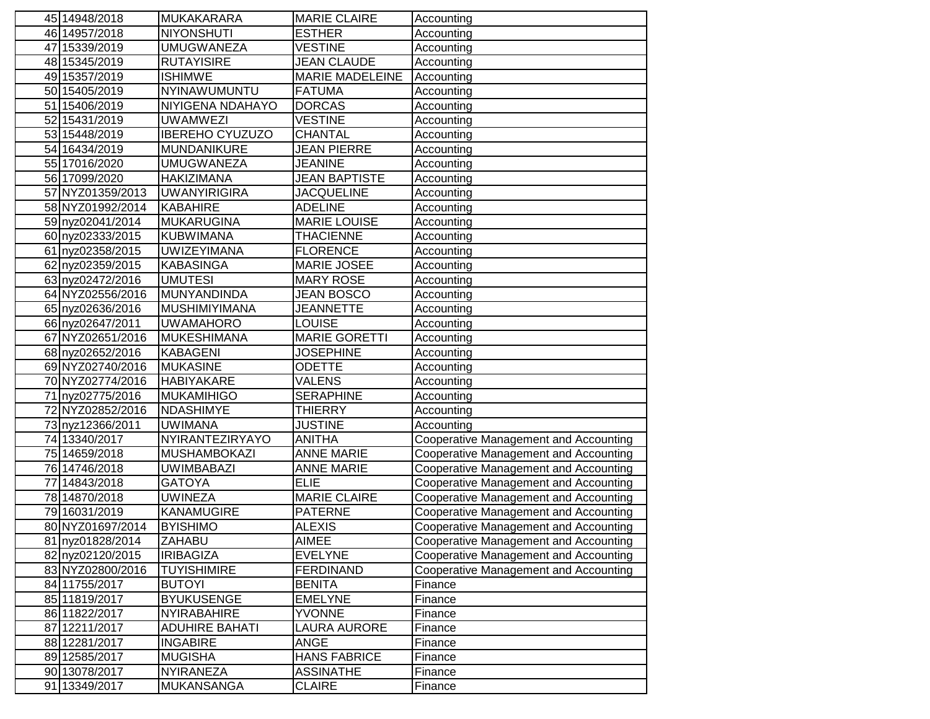|    | 45 14948/2018    | <b>MUKAKARARA</b>      | <b>MARIE CLAIRE</b>    | Accounting                                   |
|----|------------------|------------------------|------------------------|----------------------------------------------|
|    | 46 14957/2018    | <b>NIYONSHUTI</b>      | <b>ESTHER</b>          | Accounting                                   |
|    | 47 15339/2019    | <b>UMUGWANEZA</b>      | <b>VESTINE</b>         | Accounting                                   |
|    | 48 15345/2019    | <b>RUTAYISIRE</b>      | <b>JEAN CLAUDE</b>     | Accounting                                   |
|    | 49 15357/2019    | <b>ISHIMWE</b>         | <b>MARIE MADELEINE</b> | Accounting                                   |
|    | 50 15405/2019    | NYINAWUMUNTU           | <b>FATUMA</b>          | Accounting                                   |
|    | 51 15406/2019    | NIYIGENA NDAHAYO       | <b>DORCAS</b>          | Accounting                                   |
|    | 52 15431/2019    | <b>UWAMWEZI</b>        | <b>VESTINE</b>         | Accounting                                   |
|    | 53 15448/2019    | <b>IBEREHO CYUZUZO</b> | <b>CHANTAL</b>         | Accounting                                   |
|    | 54 16434/2019    | <b>MUNDANIKURE</b>     | <b>JEAN PIERRE</b>     | Accounting                                   |
|    | 55 17016/2020    | <b>UMUGWANEZA</b>      | <b>JEANINE</b>         | Accounting                                   |
|    | 56 17099/2020    | <b>HAKIZIMANA</b>      | <b>JEAN BAPTISTE</b>   | Accounting                                   |
|    | 57 NYZ01359/2013 | <b>UWANYIRIGIRA</b>    | <b>JACQUELINE</b>      | Accounting                                   |
|    | 58 NYZ01992/2014 | <b>KABAHIRE</b>        | <b>ADELINE</b>         | Accounting                                   |
|    | 59 nyz02041/2014 | <b>MUKARUGINA</b>      | <b>MARIE LOUISE</b>    | Accounting                                   |
|    | 60 nyz02333/2015 | <b>KUBWIMANA</b>       | <b>THACIENNE</b>       | Accounting                                   |
|    | 61 nyz02358/2015 | <b>UWIZEYIMANA</b>     | <b>FLORENCE</b>        | Accounting                                   |
|    | 62 nyz02359/2015 | <b>KABASINGA</b>       | MARIE JOSEE            | Accounting                                   |
|    | 63 nyz02472/2016 | <b>UMUTESI</b>         | <b>MARY ROSE</b>       | Accounting                                   |
|    | 64 NYZ02556/2016 | MUNYANDINDA            | <b>JEAN BOSCO</b>      | Accounting                                   |
|    | 65 nyz02636/2016 | <b>MUSHIMIYIMANA</b>   | <b>JEANNETTE</b>       | Accounting                                   |
|    | 66 nyz02647/2011 | <b>UWAMAHORO</b>       | <b>LOUISE</b>          | Accounting                                   |
|    | 67 NYZ02651/2016 | <b>MUKESHIMANA</b>     | <b>MARIE GORETTI</b>   | Accounting                                   |
|    | 68 nyz02652/2016 | <b>KABAGENI</b>        | <b>JOSEPHINE</b>       | Accounting                                   |
|    | 69 NYZ02740/2016 | <b>MUKASINE</b>        | <b>ODETTE</b>          | Accounting                                   |
|    | 70 NYZ02774/2016 | <b>HABIYAKARE</b>      | <b>VALENS</b>          | Accounting                                   |
|    | 71 nyz02775/2016 | <b>MUKAMIHIGO</b>      | <b>SERAPHINE</b>       | Accounting                                   |
|    | 72 NYZ02852/2016 | <b>NDASHIMYE</b>       | <b>THIERRY</b>         | Accounting                                   |
|    | 73 nyz12366/2011 | <b>UWIMANA</b>         | <b>JUSTINE</b>         | Accounting                                   |
|    | 74 13340/2017    | NYIRANTEZIRYAYO        | <b>ANITHA</b>          | <b>Cooperative Management and Accounting</b> |
|    | 75 14659/2018    | <b>MUSHAMBOKAZI</b>    | <b>ANNE MARIE</b>      | Cooperative Management and Accounting        |
|    | 76 14746/2018    | <b>UWIMBABAZI</b>      | <b>ANNE MARIE</b>      | <b>Cooperative Management and Accounting</b> |
| 77 | 14843/2018       | <b>GATOYA</b>          | <b>ELIE</b>            | <b>Cooperative Management and Accounting</b> |
|    | 78 14870/2018    | <b>UWINEZA</b>         | <b>MARIE CLAIRE</b>    | Cooperative Management and Accounting        |
|    | 79 16031/2019    | <b>KANAMUGIRE</b>      | <b>PATERNE</b>         | <b>Cooperative Management and Accounting</b> |
|    | 80 NYZ01697/2014 | <b>BYISHIMO</b>        | <b>ALEXIS</b>          | Cooperative Management and Accounting        |
|    | 81 nyz01828/2014 | <b>ZAHABU</b>          | <b>AIMEE</b>           | Cooperative Management and Accounting        |
|    | 82 nyz02120/2015 | <b>IRIBAGIZA</b>       | <b>EVELYNE</b>         | Cooperative Management and Accounting        |
|    | 83 NYZ02800/2016 | <b>TUYISHIMIRE</b>     | <b>FERDINAND</b>       | Cooperative Management and Accounting        |
|    | 84 11755/2017    | <b>BUTOYI</b>          | <b>BENITA</b>          | Finance                                      |
|    | 85 11819/2017    | <b>BYUKUSENGE</b>      | <b>EMELYNE</b>         | Finance                                      |
|    | 86 11822/2017    | NYIRABAHIRE            | <b>YVONNE</b>          | Finance                                      |
|    | 87 12211/2017    | <b>ADUHIRE BAHATI</b>  | LAURA AURORE           | Finance                                      |
|    | 88 12281/2017    | <b>INGABIRE</b>        | <b>ANGE</b>            | Finance                                      |
|    | 89 12585/2017    | <b>MUGISHA</b>         | <b>HANS FABRICE</b>    | Finance                                      |
|    | 90 13078/2017    | <b>NYIRANEZA</b>       | <b>ASSINATHE</b>       | Finance                                      |
|    | 91 13349/2017    | <b>MUKANSANGA</b>      | <b>CLAIRE</b>          | Finance                                      |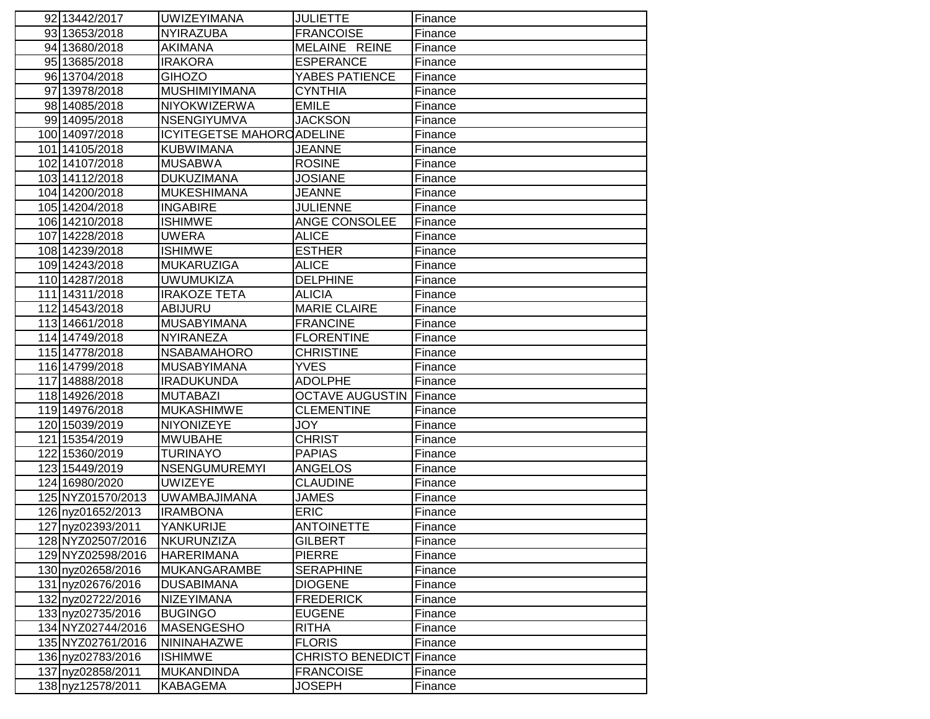| 92 13442/2017                          | <b>UWIZEYIMANA</b>                       | <b>JULIETTE</b>                    | Finance            |
|----------------------------------------|------------------------------------------|------------------------------------|--------------------|
| 93 13653/2018                          | NYIRAZUBA                                | <b>FRANCOISE</b>                   | Finance            |
| 94 13680/2018                          | <b>AKIMANA</b>                           | MELAINE REINE                      | Finance            |
| 95 13685/2018                          | IRAKORA                                  | <b>ESPERANCE</b>                   | Finance            |
| 96 13704/2018                          | <b>GIHOZO</b>                            | YABES PATIENCE                     | Finance            |
| 97 13978/2018                          | <b>MUSHIMIYIMANA</b>                     | <b>CYNTHIA</b>                     | Finance            |
| 98 14085/2018                          | NIYOKWIZERWA                             | <b>EMILE</b>                       | Finance            |
| 99 14095/2018                          | NSENGIYUMVA                              | <b>JACKSON</b>                     | Finance            |
| 100 14097/2018                         | <b>ICYITEGETSE MAHOROADELINE</b>         |                                    | Finance            |
| 101 14105/2018                         | <b>KUBWIMANA</b>                         | <b>JEANNE</b>                      | Finance            |
| 102 14107/2018                         | <b>MUSABWA</b>                           | <b>ROSINE</b>                      | Finance            |
| 103 14112/2018                         | <b>DUKUZIMANA</b>                        | <b>JOSIANE</b>                     | Finance            |
| 104 14200/2018                         | <b>MUKESHIMANA</b>                       | <b>JEANNE</b>                      | Finance            |
| 105 14204/2018                         | <b>INGABIRE</b>                          | <b>JULIENNE</b>                    | Finance            |
| 106 14210/2018                         | ISHIMWE                                  | ANGE CONSOLEE                      | Finance            |
| 107 14228/2018                         | <b>UWERA</b>                             | <b>ALICE</b>                       | Finance            |
| 108 14239/2018                         | <b>ISHIMWE</b>                           | <b>ESTHER</b>                      | Finance            |
| 109 14243/2018                         | <b>MUKARUZIGA</b>                        | <b>ALICE</b>                       | Finance            |
| 110 14287/2018                         | <b>UWUMUKIZA</b>                         | <b>DELPHINE</b>                    | Finance            |
| 111 14311/2018                         | IRAKOZE TETA                             | <b>ALICIA</b>                      | Finance            |
| 112 14543/2018                         | <b>ABIJURU</b>                           | <b>MARIE CLAIRE</b>                | Finance            |
| 113 14661/2018                         | <b>MUSABYIMANA</b>                       | <b>FRANCINE</b>                    | Finance            |
| 114 14749/2018                         | NYIRANEZA                                | <b>FLORENTINE</b>                  | Finance            |
| 115 14778/2018                         | <b>NSABAMAHORO</b>                       | <b>CHRISTINE</b>                   | Finance            |
| 116 14799/2018                         | <b>MUSABYIMANA</b>                       | <b>YVES</b>                        | Finance            |
| 117 14888/2018                         | IRADUKUNDA                               | <b>ADOLPHE</b>                     | Finance            |
| 118 14926/2018                         | <b>MUTABAZI</b>                          | <b>OCTAVE AUGUSTIN</b>             | Finance            |
| 119 14976/2018                         | <b>MUKASHIMWE</b>                        | <b>CLEMENTINE</b>                  | Finance            |
| 120 15039/2019                         | <b>NIYONIZEYE</b>                        | <b>JOY</b>                         | Finance            |
| 121 15354/2019                         | <b>MWUBAHE</b>                           | <b>CHRIST</b>                      | Finance            |
| 122 15360/2019                         | TURINAYO                                 | <b>PAPIAS</b>                      | Finance            |
| 123 15449/2019                         | NSENGUMUREMYI                            | <b>ANGELOS</b>                     | Finance            |
| 124 16980/2020                         | <b>UWIZEYE</b>                           | <b>CLAUDINE</b>                    | Finance            |
| 125 NYZ01570/2013                      | <b>UWAMBAJIMANA</b>                      | <b>JAMES</b>                       | Finance            |
| 126 nyz01652/2013                      | <b>IRAMBONA</b>                          | <b>ERIC</b>                        | Finance            |
| 127 nyz02393/2011                      | YANKURIJE                                | <b>ANTOINETTE</b>                  | Finance            |
| 128 NYZ02507/2016                      | NKURUNZIZA                               | <b>GILBERT</b>                     | Finance            |
| 129 NYZ02598/2016                      | <b>HARERIMANA</b>                        | <b>PIERRE</b>                      | Finance            |
| 130 nyz02658/2016<br>131 nyz02676/2016 | <b>MUKANGARAMBE</b><br><b>DUSABIMANA</b> | <b>SERAPHINE</b><br><b>DIOGENE</b> | Finance<br>Finance |
|                                        | NIZEYIMANA                               |                                    |                    |
| 132 nyz02722/2016                      | <b>BUGINGO</b>                           | <b>FREDERICK</b><br><b>EUGENE</b>  | Finance<br>Finance |
| 133 nyz02735/2016<br>134 NYZ02744/2016 | <b>MASENGESHO</b>                        | <b>RITHA</b>                       | Finance            |
| 135 NYZ02761/2016                      | <b>NININAHAZWE</b>                       | <b>FLORIS</b>                      | Finance            |
| 136 nyz02783/2016                      | <b>ISHIMWE</b>                           | <b>CHRISTO BENEDICT Finance</b>    |                    |
| 137 nyz02858/2011                      | <b>MUKANDINDA</b>                        | <b>FRANCOISE</b>                   | Finance            |
| 138 nyz12578/2011                      | <b>KABAGEMA</b>                          | <b>JOSEPH</b>                      | Finance            |
|                                        |                                          |                                    |                    |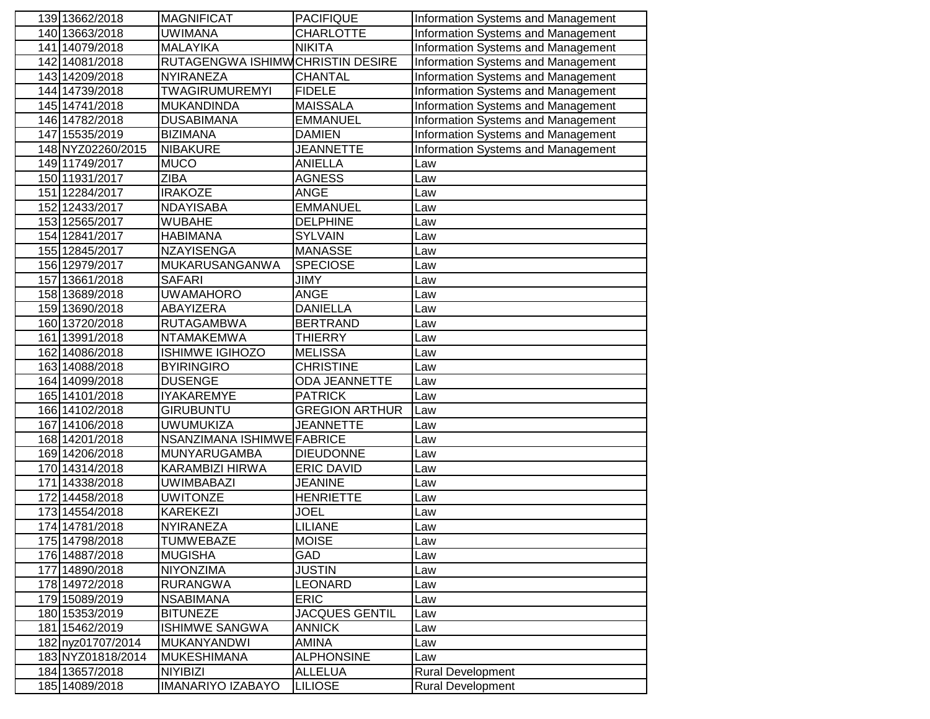|     | 139 13662/2018               | <b>MAGNIFICAT</b>                      | <b>PACIFIQUE</b>                      | Information Systems and Management |
|-----|------------------------------|----------------------------------------|---------------------------------------|------------------------------------|
|     | 140 13663/2018               | <b>UWIMANA</b>                         | <b>CHARLOTTE</b>                      | Information Systems and Management |
|     | 141 14079/2018               | <b>MALAYIKA</b>                        | <b>NIKITA</b>                         | Information Systems and Management |
|     | 142 14081/2018               | RUTAGENGWA ISHIMWCHRISTIN DESIRE       |                                       | Information Systems and Management |
|     | 143 14209/2018               | NYIRANEZA                              | <b>CHANTAL</b>                        | Information Systems and Management |
|     | 144 14739/2018               | <b>TWAGIRUMUREMYI</b>                  | <b>FIDELE</b>                         | Information Systems and Management |
|     | 145 14741/2018               | <b>MUKANDINDA</b>                      | <b>MAISSALA</b>                       | Information Systems and Management |
|     | 146 14782/2018               | <b>DUSABIMANA</b>                      | <b>EMMANUEL</b>                       | Information Systems and Management |
|     | 147 15535/2019               | <b>BIZIMANA</b>                        | <b>DAMIEN</b>                         | Information Systems and Management |
|     | 148 NYZ02260/2015            | <b>NIBAKURE</b>                        | <b>JEANNETTE</b>                      | Information Systems and Management |
|     | 149 11749/2017               | <b>MUCO</b>                            | <b>ANIELLA</b>                        | Law                                |
|     | 150 11931/2017               | <b>ZIBA</b>                            | <b>AGNESS</b>                         | Law                                |
| 151 | 12284/2017                   | <b>IRAKOZE</b>                         | <b>ANGE</b>                           | Law                                |
|     | 152 12433/2017               | <b>NDAYISABA</b>                       | <b>EMMANUEL</b>                       | Law                                |
|     | 153 12565/2017               | WUBAHE                                 | <b>DELPHINE</b>                       | Law                                |
|     | 154 12841/2017               | HABIMANA                               | <b>SYLVAIN</b>                        | Law                                |
|     | 155 12845/2017               | NZAYISENGA                             | <b>MANASSE</b>                        | Law                                |
|     | 156 12979/2017               | MUKARUSANGANWA                         | <b>SPECIOSE</b>                       | Law                                |
| 157 | 13661/2018                   | <b>SAFARI</b>                          | <b>JIMY</b>                           | Law                                |
|     | 158 13689/2018               | <b>UWAMAHORO</b>                       | <b>ANGE</b>                           | Law                                |
|     | 159 13690/2018               | ABAYIZERA                              | <b>DANIELLA</b>                       | Law                                |
|     | 160 13720/2018               | <b>RUTAGAMBWA</b>                      | <b>BERTRAND</b>                       | Law                                |
| 161 | 13991/2018                   | <b>NTAMAKEMWA</b>                      | <b>THIERRY</b>                        | Law                                |
|     | 162 14086/2018               | <b>ISHIMWE IGIHOZO</b>                 | <b>MELISSA</b>                        | Law                                |
|     | 163 14088/2018               | <b>BYIRINGIRO</b>                      | <b>CHRISTINE</b>                      | Law                                |
|     | 164 14099/2018               | <b>DUSENGE</b>                         | ODA JEANNETTE                         | Law                                |
|     | 165 14101/2018               | <b>IYAKAREMYE</b>                      | <b>PATRICK</b>                        | Law                                |
|     | 166 14102/2018               | GIRUBUNTU                              | <b>GREGION ARTHUR</b>                 | Law                                |
| 167 | 14106/2018                   | <b>UWUMUKIZA</b>                       | <b>JEANNETTE</b>                      | Law                                |
|     | 168 14201/2018               | NSANZIMANA ISHIMWE FABRICE             |                                       | Law                                |
|     | 169 14206/2018               | <b>MUNYARUGAMBA</b><br>KARAMBIZI HIRWA | <b>DIEUDONNE</b><br><b>ERIC DAVID</b> | Law                                |
| 171 | 170 14314/2018<br>14338/2018 | UWIMBABAZI                             | <b>JEANINE</b>                        | Law<br>Law                         |
|     | 172 14458/2018               | <b>UWITONZE</b>                        | <b>HENRIETTE</b>                      | Law                                |
|     | 173 14554/2018               | KAREKEZI                               | <b>JOEL</b>                           | Law                                |
|     | 174 14781/2018               | NYIRANEZA                              | <b>LILIANE</b>                        | Law                                |
|     | 175 14798/2018               | TUMWEBAZE                              | <b>MOISE</b>                          | Law                                |
|     | 176 14887/2018               | <b>MUGISHA</b>                         | <b>GAD</b>                            | Law                                |
|     | 177 14890/2018               | NIYONZIMA                              | <b>JUSTIN</b>                         | Law                                |
|     | 178 14972/2018               | <b>RURANGWA</b>                        | <b>LEONARD</b>                        | Law                                |
|     | 179 15089/2019               | <b>NSABIMANA</b>                       | <b>ERIC</b>                           | Law                                |
|     | 180 15353/2019               | <b>BITUNEZE</b>                        | <b>JACQUES GENTIL</b>                 | Law                                |
|     | 181 15462/2019               | <b>ISHIMWE SANGWA</b>                  | <b>ANNICK</b>                         | Law                                |
|     | 182 nyz01707/2014            | <b>MUKANYANDWI</b>                     | <b>AMINA</b>                          | Law                                |
|     | 183 NYZ01818/2014            | <b>MUKESHIMANA</b>                     | <b>ALPHONSINE</b>                     | Law                                |
|     | 184 13657/2018               | <b>NIYIBIZI</b>                        | <b>ALLELUA</b>                        | <b>Rural Development</b>           |
|     | 185 14089/2018               | <b>IMANARIYO IZABAYO</b>               | <b>LILIOSE</b>                        | <b>Rural Development</b>           |